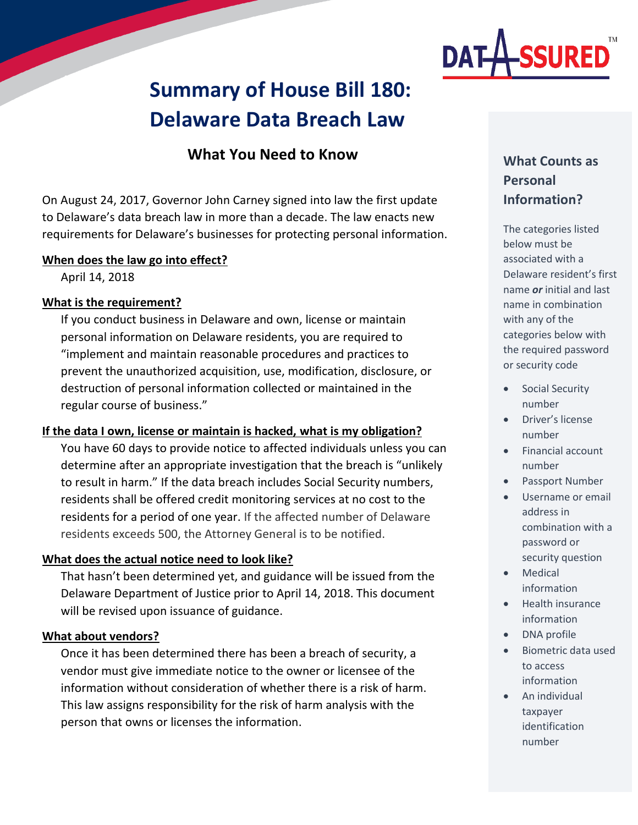

# **Summary of House Bill 180: Delaware Data Breach Law**

# **What You Need to Know**

On August 24, 2017, Governor John Carney signed into law the first update to Delaware's data breach law in more than a decade. The law enacts new requirements for Delaware's businesses for protecting personal information.

#### **When does the law go into effect?**

April 14, 2018

### **What is the requirement?**

If you conduct business in Delaware and own, license or maintain personal information on Delaware residents, you are required to "implement and maintain reasonable procedures and practices to prevent the unauthorized acquisition, use, modification, disclosure, or destruction of personal information collected or maintained in the regular course of business."

#### **If the data I own, license or maintain is hacked, what is my obligation?**

You have 60 days to provide notice to affected individuals unless you can determine after an appropriate investigation that the breach is "unlikely to result in harm." If the data breach includes Social Security numbers, residents shall be offered credit monitoring services at no cost to the residents for a period of one year. If the affected number of Delaware residents exceeds 500, the Attorney General is to be notified.

#### **What does the actual notice need to look like?**

That hasn't been determined yet, and guidance will be issued from the Delaware Department of Justice prior to April 14, 2018. This document will be revised upon issuance of guidance.

#### **What about vendors?**

Once it has been determined there has been a breach of security, a vendor must give immediate notice to the owner or licensee of the information without consideration of whether there is a risk of harm. This law assigns responsibility for the risk of harm analysis with the person that owns or licenses the information.

# **What Counts as Personal Information?**

The categories listed below must be associated with a Delaware resident's first name *or* initial and last name in combination with any of the categories below with the required password or security code

- Social Security number
- Driver's license number
- Financial account number
- Passport Number
- Username or email address in combination with a password or security question
- Medical information
- Health insurance information
- DNA profile
- Biometric data used to access information
- An individual taxpayer identification number